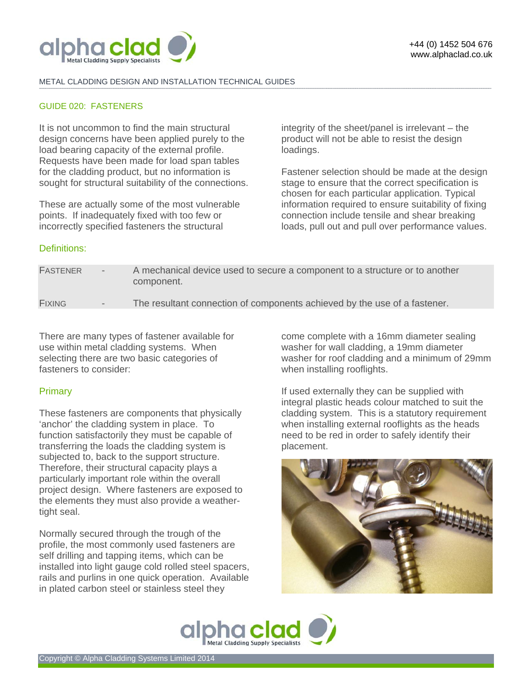

#### METAL CLADDING DESIGN AND INSTALLATION TECHNICAL GUIDES **-------------------------------------------------------------------------------------------------------------------------------------------------------------------------------------------------------------------------------------------------------------------------------------------------------------------------------------------------------------------------------------------------------**

### GUIDE 020: FASTENERS

It is not uncommon to find the main structural design concerns have been applied purely to the load bearing capacity of the external profile. Requests have been made for load span tables for the cladding product, but no information is sought for structural suitability of the connections.

These are actually some of the most vulnerable points. If inadequately fixed with too few or incorrectly specified fasteners the structural

integrity of the sheet/panel is irrelevant – the product will not be able to resist the design loadings.

Fastener selection should be made at the design stage to ensure that the correct specification is chosen for each particular application. Typical information required to ensure suitability of fixing connection include tensile and shear breaking loads, pull out and pull over performance values.

# Definitions:

| <b>FASTENER</b> | $\sim$ 100 $\mu$         | A mechanical device used to secure a component to a structure or to another<br>component. |
|-----------------|--------------------------|-------------------------------------------------------------------------------------------|
| <b>FIXING</b>   | $\overline{\phantom{a}}$ | The resultant connection of components achieved by the use of a fastener.                 |
|                 |                          |                                                                                           |

There are many types of fastener available for use within metal cladding systems. When selecting there are two basic categories of fasteners to consider:

## **Primary**

These fasteners are components that physically 'anchor' the cladding system in place. To function satisfactorily they must be capable of transferring the loads the cladding system is subjected to, back to the support structure. Therefore, their structural capacity plays a particularly important role within the overall project design. Where fasteners are exposed to the elements they must also provide a weathertight seal.

Normally secured through the trough of the profile, the most commonly used fasteners are self drilling and tapping items, which can be installed into light gauge cold rolled steel spacers, rails and purlins in one quick operation. Available in plated carbon steel or stainless steel they

come complete with a 16mm diameter sealing washer for wall cladding, a 19mm diameter washer for roof cladding and a minimum of 29mm when installing rooflights.

If used externally they can be supplied with integral plastic heads colour matched to suit the cladding system. This is a statutory requirement when installing external rooflights as the heads need to be red in order to safely identify their placement.